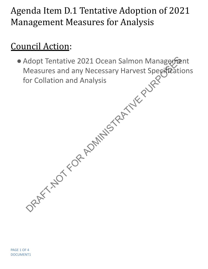## Agenda Item D.1 Tentative Adoption of 2021 Management Measures for Analysis

## Council Action:

• Adopt Tentative 2021 Ocean Salmon Management Measures and any Necessary Harvest Specifications for Collation and Analysis Neasures and any Necessary Harvest Specification<br>
Measures and any Necessary Harvest Specification<br>
or Collation and Analysis<br>
or Collation and Analysis<br>
ADMINISTRATIVE PURPORT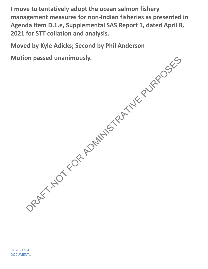**I move to tentatively adopt the ocean salmon fishery management measures for non-Indian fisheries as presented in Agenda Item D.1.e, Supplemental SAS Report 1, dated April 8, 2021 for STT collation and analysis.**

**Moved by Kyle Adicks; Second by Phil Anderson**

**Motion passed unanimously.** DRAFT-NOT FOR ADMINISTRATIVE PURPOSES

PAGE 2 OF 4 DOCUMENT1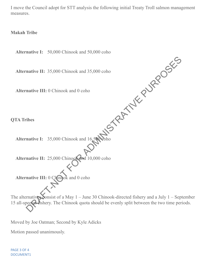I move the Council adopt for STT analysis the following initial Treaty Troll salmon management measures.

**Makah Tribe**

**Alternative I:** 50,000 Chinook and 50,000 coho DRAFT-NER PURPOSES

**Alternative II:** 35,000 Chinook and 35,000 coho

**Alternative III:** 0 Chinook and 0 coho

**QTA Tribes**

Alternative I: 35,000 Chinook and 16,500 coho

Alternative II: 25,000 Chinook and 10,000 coho

Alternative III: 0 Chinook and 0 coho

The alternatives consist of a May  $1 -$  June 30 Chinook-directed fishery and a July  $1 -$  September 15 all-species fishery. The Chinook quota should be evenly split between the two time periods.

Moved by Joe Oatman; Second by Kyle Adicks

Motion passed unanimously.

PAGE 3 OF 4 DOCUMENT1